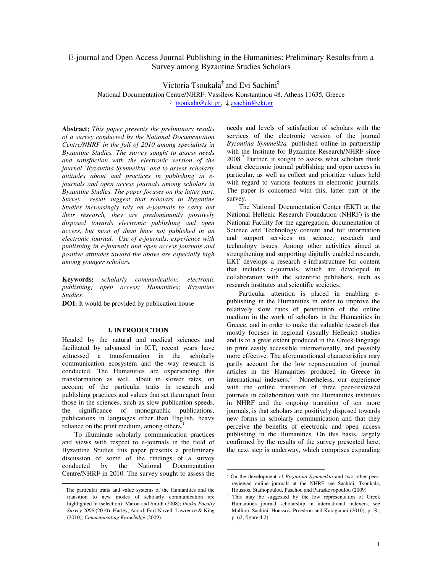# E-journal and Open Access Journal Publishing in the Humanities: Preliminary Results from a Survey among Byzantine Studies Scholars

Victoria Tsoukala† and Evi Sachini‡

National Documentation Centre/NHRF, Vassileos Konstantinou 48, Athens 11635, Greece † tsoukala@ekt.gr, ‡ esachin@ekt.gr

**Abstract**: *This paper presents the preliminary results of a survey conducted by the National Documentation Centre/NHRF in the fall of 2010 among specialists in Byzantine Studies. The survey sought to assess needs and satisfaction with the electronic version of the journal 'Byzantina Symmeikta' and to assess scholarly attitudes about and practices in publishing in ejournals and open access journals among scholars in Byzantine Studies. The paper focuses on the latter part. Survey result suggest that scholars in Byzantine Studies increasingly rely on e-journals to carry out their research, they are predominantly positively disposed towards electronic publishing and open access, but most of them have not published in an electronic journal. Use of e-journals, experience with publishing in e-journals and open access journals and positive attitudes toward the above are especially high among younger scholars.* 

**Keywords**: *scholarly communication; electronic publishing; open access; Humanities; Byzantine Studies.* 

**DOI:** It would be provided by publication house

## **I. INTRODUCTION**

Headed by the natural and medical sciences and facilitated by advanced in ICT, recent years have witnessed a transformation in the scholarly communication ecosystem and the way research is conducted. The Humanities are experiencing this transformation as well, albeit in slower rates, on account of the particular traits in research and publishing practices and values that set them apart from those in the sciences, such as slow publication speeds, the significance of monographic publications, publications in languages other than English, heavy reliance on the print medium, among others. $<sup>1</sup>$ </sup>

To illuminate scholarly communication practices and views with respect to e-journals in the field of Byzantine Studies this paper presents a preliminary discussion of some of the findings of a survey conducted by the National Documentation Centre/NHRF in 2010. The survey sought to assess the

needs and levels of satisfaction of scholars with the services of the electronic version of the journal *Byzantina Symmeikta,* published online in partnership with the Institute for Byzantine Research/NHRF since 2008.<sup>2</sup> Further, it sought to assess what scholars think about electronic journal publishing and open access in particular, as well as collect and prioritize values held with regard to various features in electronic journals. The paper is concerned with this, latter part of the survey.

The National Documentation Center (EKT) at the National Hellenic Research Foundation (NHRF) is the National Facility for the aggregation, documentation of Science and Technology content and for information and support services on science, research and technology issues. Among other activities aimed at strengthening and supporting digitally enabled research, EKT develops a research e-infrastructure for content that includes e-journals, which are developed in collaboration with the scientific publishers, such as research institutes and scientific societies.

Particular attention is placed in enabling epublishing in the Humanities in order to improve the relatively slow rates of penetration of the online medium in the work of scholars in the Humanities in Greece, and in order to make the valuable research that mostly focuses in regional (usually Hellenic) studies and is to a great extent produced in the Greek language in print easily accessible internationally, and possibly more effective. The aforementioned characteristics may partly account for the low representation of journal articles in the Humanities produced in Greece in international indexers.<sup>3</sup> Nonetheless, our experience with the online transition of three peer-reviewed journals in collaboration with the Humanities institutes in NHRF and the ongoing transition of ten more journals, is that scholars are positively disposed towards new forms in scholarly communication and that they perceive the benefits of electronic and open access publishing in the Humanities. On this basis, largely confirmed by the results of the survey presented here, the next step is underway, which comprises expanding

 $\overline{a}$ 

 1 The particular traits and value systems of the Humanities and the transition to new modes of scholarly communication are highlighted in (selection): Maron and Smith (2008); *Ithaka Faculty Survey 2009* (2010); Harley, Acord, Earl-Novell, Lawrence & King (2010); *Communicating Knowledge* (2009).

<sup>2</sup> On the development of *Byzantina Symmeikta* and two other peerreviewed online journals at the NHRF see Sachini, Tsoukala, Houssos, Stathopoulou, Paschou and Paraskevopoulou (2009)

<sup>3</sup> This may be suggested by the low representation of Greek Humanities journal scholarship in international indexers, see Malliou, Sachini, Houssos, Proedrou and Karagianni (2010), p.18 , p. 62, figure 4.2).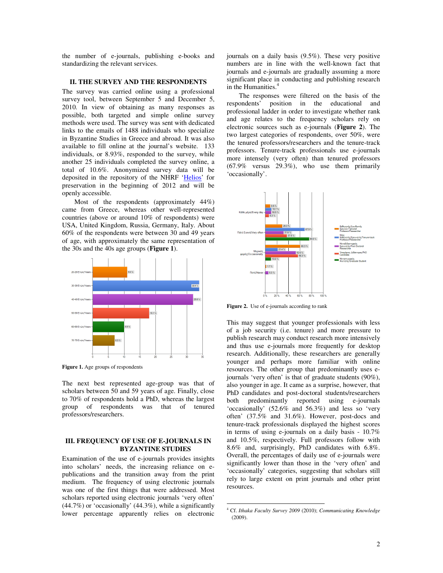the number of e-journals, publishing e-books and standardizing the relevant services.

#### **II. THE SURVEY AND THE RESPONDENTS**

The survey was carried online using a professional survey tool, between September 5 and December 5, 2010. In view of obtaining as many responses as possible, both targeted and simple online survey methods were used. The survey was sent with dedicated links to the emails of 1488 individuals who specialize in Byzantine Studies in Greece and abroad. It was also available to fill online at the journal's website. 133 individuals, or 8.93%, responded to the survey, while another 25 individuals completed the survey online, a total of 10.6%. Anonymized survey data will be deposited in the repository of the NHRF 'Helios' for preservation in the beginning of 2012 and will be openly accessible.

Most of the respondents (approximately 44%) came from Greece, whereas other well-represented countries (above or around 10% of respondents) were USA, United Kingdom, Russia, Germany, Italy. About 60% of the respondents were between 30 and 49 years of age, with approximately the same representation of the 30s and the 40s age groups (**Figure 1**).



Figure 1. Age groups of respondents

The next best represented age-group was that of scholars between 50 and 59 years of age. Finally, close to 70% of respondents hold a PhD, whereas the largest group of respondents was that of tenured professors/researchers.

### **III. FREQUENCY OF USE OF E-JOURNALS IN BYZANTINE STUDIES**

Examination of the use of e-journals provides insights into scholars' needs, the increasing reliance on epublications and the transition away from the print medium. The frequency of using electronic journals was one of the first things that were addressed. Most scholars reported using electronic journals 'very often' (44.7%) or 'occasionally' (44.3%), while a significantly lower percentage apparently relies on electronic journals on a daily basis (9.5%). These very positive numbers are in line with the well-known fact that journals and e-journals are gradually assuming a more significant place in conducting and publishing research in the Humanities.<sup>4</sup>

The responses were filtered on the basis of the respondents' position in the educational and position in the educational and professional ladder in order to investigate whether rank and age relates to the frequency scholars rely on electronic sources such as e-journals (**Figure 2**). The two largest categories of respondents, over 50%, were the tenured professors/researchers and the tenure-track professors. Tenure-track professionals use e-journals more intensely (very often) than tenured professors (67.9% versus 29.3%), who use them primarily 'occasionally'.



**Figure 2.** Use of e-journals according to rank

This may suggest that younger professionals with less of a job security (i.e. tenure) and more pressure to publish research may conduct research more intensively and thus use e-journals more frequently for desktop research. Additionally, these researchers are generally younger and perhaps more familiar with online resources. The other group that predominantly uses ejournals 'very often' is that of graduate students (90%), also younger in age. It came as a surprise, however, that PhD candidates and post-doctoral students/researchers both predominantly reported using e-journals 'occasionally' (52.6% and 56.3%) and less so 'very often' (37.5% and 31.6%). However, post-docs and tenure-track professionals displayed the highest scores in terms of using e-journals on a daily basis - 10.7% and 10.5%, respectively. Full professors follow with 8.6% and, surprisingly, PhD candidates with 6.8%. Overall, the percentages of daily use of e-journals were significantly lower than those in the 'very often' and 'occasionally' categories, suggesting that scholars still rely to large extent on print journals and other print resources.

 $\overline{\phantom{0}}$ 

<sup>4</sup> Cf. *Ithaka Faculty Survey 2009* (2010); *Communicating Knowledge*  (2009).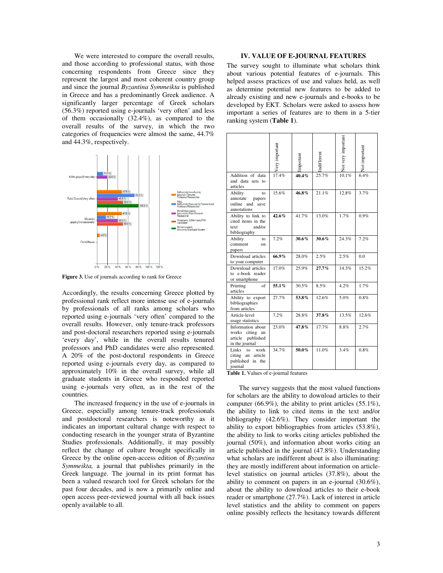We were interested to compare the overall results, and those according to professional status, with those concerning respondents from Greece since they represent the largest and most coherent country group and since the journal *Byzantina Symmeikta* is published in Greece and has a predominantly Greek audience. A significantly larger percentage of Greek scholars (56.3%) reported using e-journals 'very often' and less of them occasionally (32.4%), as compared to the overall results of the survey, in which the two categories of frequencies were almost the same, 44.7% and 44.3%, respectively.



Figure 3. Use of journals according to rank for Greece

Accordingly, the results concerning Greece plotted by professional rank reflect more intense use of e-journals by professionals of all ranks among scholars who reported using e-journals 'very often' compared to the overall results. However, only tenure-track professors and post-doctoral researchers reported using e-journals 'every day', while in the overall results tenured professors and PhD candidates were also represented. A 20% of the post-doctoral respondents in Greece reported using e-journals every day, as compared to approximately 10% in the overall survey, while all graduate students in Greece who responded reported using e-journals very often, as in the rest of the countries.

The increased frequency in the use of e-journals in Greece, especially among tenure-track professionals and postdoctoral researchers is noteworthy as it indicates an important cultural change with respect to conducting research in the younger strata of Byzantine Studies professionals. Additionally, it may possibly reflect the change of culture brought specifically in Greece by the online open-access edition of *Byzantina Symmeikta,* a journal that publishes primarily in the Greek language. The journal in its print format has been a valued research tool for Greek scholars for the past four decades, and is now a primarily online and open access peer-reviewed journal with all back issues openly available to all.

## **IV. VALUE OF E-JOURNAL FEATURES**

The survey sought to illuminate what scholars think about various potential features of e-journals. This helped assess practices of use and values held, as well as determine potential new features to be added to already existing and new e-journals and e-books to be developed by EKT. Scholars were asked to assess how important a series of features are to them in a 5-tier ranking system (**Table 1**).

|                                                                                | Very important | Important | Indifferent | Not very important | Not important |
|--------------------------------------------------------------------------------|----------------|-----------|-------------|--------------------|---------------|
| Addition of data<br>and data sets to<br>articles                               | 17.4%          | 40.4%     | 25.7%       | 10.1%              | 6.4%          |
| Ability<br>to<br>annotate<br>papers<br>online and<br>save<br>annotations       | 15.6%          | 46.8%     | 21.1%       | 12.8%              | 3.7%          |
| Ability to link to<br>cited items in the<br>and/or<br>text<br>bibliography     | 42.6%          | 41.7%     | 13.0%       | 1.7%               | $0.9\%$       |
| Ability<br>to<br>comment<br>on<br>papers                                       | 7.2%           | 30.6%     | 30.6%       | 24.3%              | 7.2%          |
| Download articles<br>to your computer                                          | 66.9%          | 28.0%     | 2.5%        | 2.5%               | 0.0           |
| Download articles<br>to e-book reader<br>or smartphone                         | 17.0%          | 25.9%     | $27.7\%$    | 14.3%              | 15.2%         |
| Printing<br>of<br>articles                                                     | 55.1%          | 30.5%     | 8.5%        | 4.2%               | 1.7%          |
| Ability to export<br>bibliographies<br>from articles                           | 27.7%          | 53.8%     | 12.6%       | 5.0%               | $0.8\%$       |
| Article-level<br>usage statistics                                              | 7.2%           | 28.8%     | 37.8%       | 13.5%              | 12.6%         |
| Information about<br>works citing<br>an<br>article published<br>in the journal | 23.0%          | 47.8%     | 17.7%       | 8.8%               | 2.7%          |
| Links<br>work<br>to<br>citing an<br>article<br>published<br>in the<br>iournal  | 34.7%          | 50.0%     | 11.0%       | 3.4%               | 0.8%          |

**Table 1.** Values of e-journal features

The survey suggests that the most valued functions for scholars are the ability to download articles to their computer (66.9%), the ability to print articles  $(55.1\%)$ , the ability to link to cited items in the text and/or bibliography (42.6%). They consider important the ability to export bibliographies from articles (53.8%), the ability to link to works citing articles published the journal (50%), and information about works citing an article published in the journal (47.8%). Understanding what scholars are indifferent about is also illuminating: they are mostly indifferent about information on articlelevel statistics on journal articles (37.8%), about the ability to comment on papers in an e-journal (30.6%), about the ability to download articles to their e-book reader or smartphone (27.7%). Lack of interest in article level statistics and the ability to comment on papers online possibly reflects the hesitancy towards different